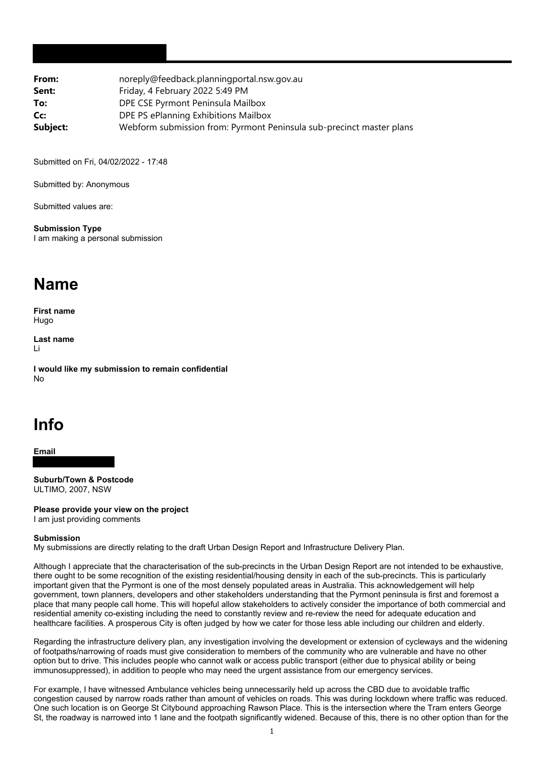| From:    | noreply@feedback.planningportal.nsw.gov.au                           |
|----------|----------------------------------------------------------------------|
| Sent:    | Friday, 4 February 2022 5:49 PM                                      |
| To:      | DPE CSE Pyrmont Peninsula Mailbox                                    |
| Cc:      | DPE PS ePlanning Exhibitions Mailbox                                 |
| Subject: | Webform submission from: Pyrmont Peninsula sub-precinct master plans |

Submitted on Fri, 04/02/2022 - 17:48

Submitted by: Anonymous

Submitted values are:

**Submission Type** I am making a personal submission

## **Name**

**First name** Hugo

**Last name** Li

**I would like my submission to remain confidential** No

## **Info**

**Email**

**Suburb/Town & Postcode** ULTIMO, 2007, NSW

**Please provide your view on the project** I am just providing comments

## **Submission**

My submissions are directly relating to the draft Urban Design Report and Infrastructure Delivery Plan.

Although I appreciate that the characterisation of the sub-precincts in the Urban Design Report are not intended to be exhaustive, there ought to be some recognition of the existing residential/housing density in each of the sub-precincts. This is particularly important given that the Pyrmont is one of the most densely populated areas in Australia. This acknowledgement will help government, town planners, developers and other stakeholders understanding that the Pyrmont peninsula is first and foremost a place that many people call home. This will hopeful allow stakeholders to actively consider the importance of both commercial and residential amenity co-existing including the need to constantly review and re-review the need for adequate education and healthcare facilities. A prosperous City is often judged by how we cater for those less able including our children and elderly.

Regarding the infrastructure delivery plan, any investigation involving the development or extension of cycleways and the widening of footpaths/narrowing of roads must give consideration to members of the community who are vulnerable and have no other option but to drive. This includes people who cannot walk or access public transport (either due to physical ability or being immunosuppressed), in addition to people who may need the urgent assistance from our emergency services.

For example, I have witnessed Ambulance vehicles being unnecessarily held up across the CBD due to avoidable traffic congestion caused by narrow roads rather than amount of vehicles on roads. This was during lockdown where traffic was reduced. One such location is on George St Citybound approaching Rawson Place. This is the intersection where the Tram enters George St, the roadway is narrowed into 1 lane and the footpath significantly widened. Because of this, there is no other option than for the